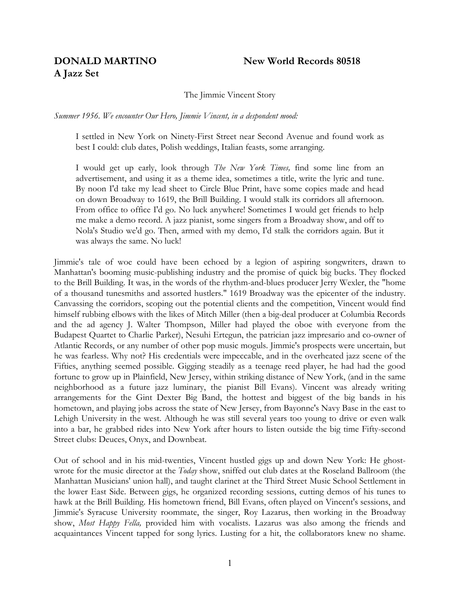# **A Jazz Set**

# **DONALD MARTINO New World Records 80518**

The Jimmie Vincent Story

*Summer 1956. We encounter Our Hero, Jimmie Vincent, in a despondent mood:*

I settled in New York on Ninety-First Street near Second Avenue and found work as best I could: club dates, Polish weddings, Italian feasts, some arranging.

I would get up early, look through *The New York Times,* find some line from an advertisement, and using it as a theme idea, sometimes a title, write the lyric and tune. By noon I'd take my lead sheet to Circle Blue Print, have some copies made and head on down Broadway to 1619, the Brill Building. I would stalk its corridors all afternoon. From office to office I'd go. No luck anywhere! Sometimes I would get friends to help me make a demo record. A jazz pianist, some singers from a Broadway show, and off to Nola's Studio we'd go. Then, armed with my demo, I'd stalk the corridors again. But it was always the same. No luck!

Jimmie's tale of woe could have been echoed by a legion of aspiring songwriters, drawn to Manhattan's booming music-publishing industry and the promise of quick big bucks. They flocked to the Brill Building. It was, in the words of the rhythm-and-blues producer Jerry Wexler, the "home of a thousand tunesmiths and assorted hustlers." 1619 Broadway was the epicenter of the industry. Canvassing the corridors, scoping out the potential clients and the competition, Vincent would find himself rubbing elbows with the likes of Mitch Miller (then a big-deal producer at Columbia Records and the ad agency J. Walter Thompson, Miller had played the oboe with everyone from the Budapest Quartet to Charlie Parker), Nesuhi Ertegun, the patrician jazz impresario and co-owner of Atlantic Records, or any number of other pop music moguls. Jimmie's prospects were uncertain, but he was fearless. Why not? His credentials were impeccable, and in the overheated jazz scene of the Fifties, anything seemed possible. Gigging steadily as a teenage reed player, he had had the good fortune to grow up in Plainfield, New Jersey, within striking distance of New York, (and in the same neighborhood as a future jazz luminary, the pianist Bill Evans). Vincent was already writing arrangements for the Gint Dexter Big Band, the hottest and biggest of the big bands in his hometown, and playing jobs across the state of New Jersey, from Bayonne's Navy Base in the east to Lehigh University in the west. Although he was still several years too young to drive or even walk into a bar, he grabbed rides into New York after hours to listen outside the big time Fifty-second Street clubs: Deuces, Onyx, and Downbeat.

Out of school and in his mid-twenties, Vincent hustled gigs up and down New York: He ghostwrote for the music director at the *Today* show, sniffed out club dates at the Roseland Ballroom (the Manhattan Musicians' union hall), and taught clarinet at the Third Street Music School Settlement in the lower East Side. Between gigs, he organized recording sessions, cutting demos of his tunes to hawk at the Brill Building. His hometown friend, Bill Evans, often played on Vincent's sessions, and Jimmie's Syracuse University roommate, the singer, Roy Lazarus, then working in the Broadway show, *Most Happy Fella,* provided him with vocalists. Lazarus was also among the friends and acquaintances Vincent tapped for song lyrics. Lusting for a hit, the collaborators knew no shame.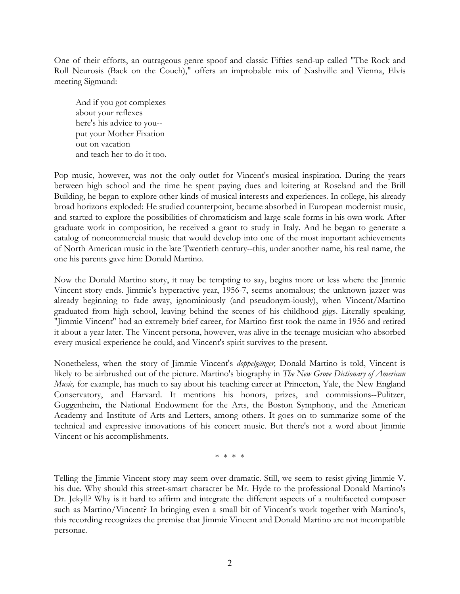One of their efforts, an outrageous genre spoof and classic Fifties send-up called "The Rock and Roll Neurosis (Back on the Couch)," offers an improbable mix of Nashville and Vienna, Elvis meeting Sigmund:

And if you got complexes about your reflexes here's his advice to you- put your Mother Fixation out on vacation and teach her to do it too.

Pop music, however, was not the only outlet for Vincent's musical inspiration. During the years between high school and the time he spent paying dues and loitering at Roseland and the Brill Building, he began to explore other kinds of musical interests and experiences. In college, his already broad horizons exploded: He studied counterpoint, became absorbed in European modernist music, and started to explore the possibilities of chromaticism and large-scale forms in his own work. After graduate work in composition, he received a grant to study in Italy. And he began to generate a catalog of noncommercial music that would develop into one of the most important achievements of North American music in the late Twentieth century--this, under another name, his real name, the one his parents gave him: Donald Martino.

Now the Donald Martino story, it may be tempting to say, begins more or less where the Jimmie Vincent story ends. Jimmie's hyperactive year, 1956-7, seems anomalous; the unknown jazzer was already beginning to fade away, ignominiously (and pseudonym-iously), when Vincent/Martino graduated from high school, leaving behind the scenes of his childhood gigs. Literally speaking, "Jimmie Vincent" had an extremely brief career, for Martino first took the name in 1956 and retired it about a year later. The Vincent persona, however, was alive in the teenage musician who absorbed every musical experience he could, and Vincent's spirit survives to the present.

Nonetheless, when the story of Jimmie Vincent's *doppelgänger,* Donald Martino is told, Vincent is likely to be airbrushed out of the picture. Martino's biography in *The New Grove Dictionary of American Music*, for example, has much to say about his teaching career at Princeton, Yale, the New England Conservatory, and Harvard. It mentions his honors, prizes, and commissions--Pulitzer, Guggenheim, the National Endowment for the Arts, the Boston Symphony, and the American Academy and Institute of Arts and Letters, among others. It goes on to summarize some of the technical and expressive innovations of his concert music. But there's not a word about Jimmie Vincent or his accomplishments.

\* \* \* \*

Telling the Jimmie Vincent story may seem over-dramatic. Still, we seem to resist giving Jimmie V. his due. Why should this street-smart character be Mr. Hyde to the professional Donald Martino's Dr. Jekyll? Why is it hard to affirm and integrate the different aspects of a multifaceted composer such as Martino/Vincent? In bringing even a small bit of Vincent's work together with Martino's, this recording recognizes the premise that Jimmie Vincent and Donald Martino are not incompatible personae.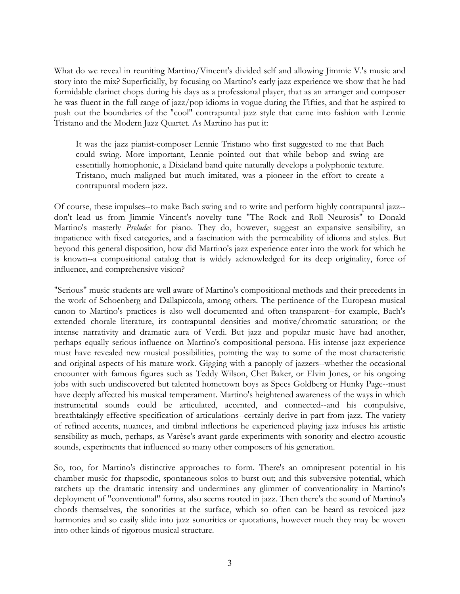What do we reveal in reuniting Martino/Vincent's divided self and allowing Jimmie V.'s music and story into the mix? Superficially, by focusing on Martino's early jazz experience we show that he had formidable clarinet chops during his days as a professional player, that as an arranger and composer he was fluent in the full range of jazz/pop idioms in vogue during the Fifties, and that he aspired to push out the boundaries of the "cool" contrapuntal jazz style that came into fashion with Lennie Tristano and the Modern Jazz Quartet. As Martino has put it:

It was the jazz pianist-composer Lennie Tristano who first suggested to me that Bach could swing. More important, Lennie pointed out that while bebop and swing are essentially homophonic, a Dixieland band quite naturally develops a polyphonic texture. Tristano, much maligned but much imitated, was a pioneer in the effort to create a contrapuntal modern jazz.

Of course, these impulses--to make Bach swing and to write and perform highly contrapuntal jazz- don't lead us from Jimmie Vincent's novelty tune "The Rock and Roll Neurosis" to Donald Martino's masterly *Preludes* for piano. They do, however, suggest an expansive sensibility, an impatience with fixed categories, and a fascination with the permeability of idioms and styles. But beyond this general disposition, how did Martino's jazz experience enter into the work for which he is known--a compositional catalog that is widely acknowledged for its deep originality, force of influence, and comprehensive vision?

"Serious" music students are well aware of Martino's compositional methods and their precedents in the work of Schoenberg and Dallapiccola, among others. The pertinence of the European musical canon to Martino's practices is also well documented and often transparent--for example, Bach's extended chorale literature, its contrapuntal densities and motive/chromatic saturation; or the intense narrativity and dramatic aura of Verdi. But jazz and popular music have had another, perhaps equally serious influence on Martino's compositional persona. His intense jazz experience must have revealed new musical possibilities, pointing the way to some of the most characteristic and original aspects of his mature work. Gigging with a panoply of jazzers--whether the occasional encounter with famous figures such as Teddy Wilson, Chet Baker, or Elvin Jones, or his ongoing jobs with such undiscovered but talented hometown boys as Specs Goldberg or Hunky Page--must have deeply affected his musical temperament. Martino's heightened awareness of the ways in which instrumental sounds could be articulated, accented, and connected--and his compulsive, breathtakingly effective specification of articulations--certainly derive in part from jazz. The variety of refined accents, nuances, and timbral inflections he experienced playing jazz infuses his artistic sensibility as much, perhaps, as Varèse's avant-garde experiments with sonority and electro-acoustic sounds, experiments that influenced so many other composers of his generation.

So, too, for Martino's distinctive approaches to form. There's an omnipresent potential in his chamber music for rhapsodic, spontaneous solos to burst out; and this subversive potential, which ratchets up the dramatic intensity and undermines any glimmer of conventionality in Martino's deployment of "conventional" forms, also seems rooted in jazz. Then there's the sound of Martino's chords themselves, the sonorities at the surface, which so often can be heard as revoiced jazz harmonies and so easily slide into jazz sonorities or quotations, however much they may be woven into other kinds of rigorous musical structure.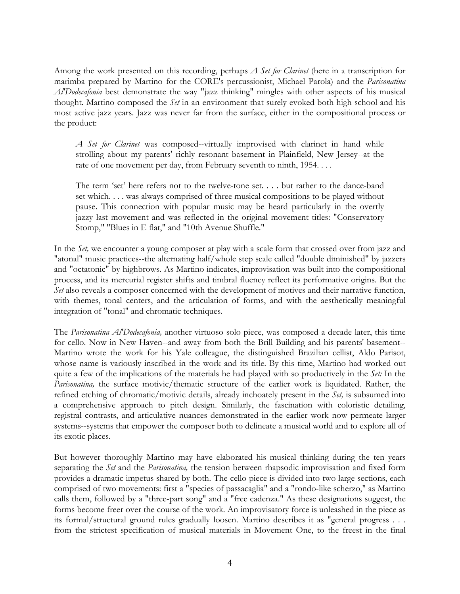Among the work presented on this recording, perhaps *A Set for Clarinet* (here in a transcription for marimba prepared by Martino for the CORE's percussionist, Michael Parola) and the *Parisonatina Al'Dodecafonia* best demonstrate the way "jazz thinking" mingles with other aspects of his musical thought. Martino composed the *Set* in an environment that surely evoked both high school and his most active jazz years. Jazz was never far from the surface, either in the compositional process or the product:

*A Set for Clarinet* was composed--virtually improvised with clarinet in hand while strolling about my parents' richly resonant basement in Plainfield, New Jersey--at the rate of one movement per day, from February seventh to ninth, 1954. . . .

The term 'set' here refers not to the twelve-tone set. . . . but rather to the dance-band set which. . . . was always comprised of three musical compositions to be played without pause. This connection with popular music may be heard particularly in the overtly jazzy last movement and was reflected in the original movement titles: "Conservatory Stomp," "Blues in E flat," and "10th Avenue Shuffle."

In the *Set,* we encounter a young composer at play with a scale form that crossed over from jazz and "atonal" music practices--the alternating half/whole step scale called "double diminished" by jazzers and "octatonic" by highbrows. As Martino indicates, improvisation was built into the compositional process, and its mercurial register shifts and timbral fluency reflect its performative origins. But the *Set* also reveals a composer concerned with the development of motives and their narrative function, with themes, tonal centers, and the articulation of forms, and with the aesthetically meaningful integration of "tonal" and chromatic techniques.

The *Parisonatina Al'Dodecafonia,* another virtuoso solo piece, was composed a decade later, this time for cello. Now in New Haven--and away from both the Brill Building and his parents' basement-- Martino wrote the work for his Yale colleague, the distinguished Brazilian cellist, Aldo Parisot, whose name is variously inscribed in the work and its title. By this time, Martino had worked out quite a few of the implications of the materials he had played with so productively in the *Set:* In the *Parisonatina,* the surface motivic/thematic structure of the earlier work is liquidated. Rather, the refined etching of chromatic/motivic details, already inchoately present in the *Set,* is subsumed into a comprehensive approach to pitch design. Similarly, the fascination with coloristic detailing, registral contrasts, and articulative nuances demonstrated in the earlier work now permeate larger systems--systems that empower the composer both to delineate a musical world and to explore all of its exotic places.

But however thoroughly Martino may have elaborated his musical thinking during the ten years separating the *Set* and the *Parisonatina,* the tension between rhapsodic improvisation and fixed form provides a dramatic impetus shared by both. The cello piece is divided into two large sections, each comprised of two movements: first a "species of passacaglia" and a "rondo-like scherzo," as Martino calls them, followed by a "three-part song" and a "free cadenza." As these designations suggest, the forms become freer over the course of the work. An improvisatory force is unleashed in the piece as its formal/structural ground rules gradually loosen. Martino describes it as "general progress . . . from the strictest specification of musical materials in Movement One, to the freest in the final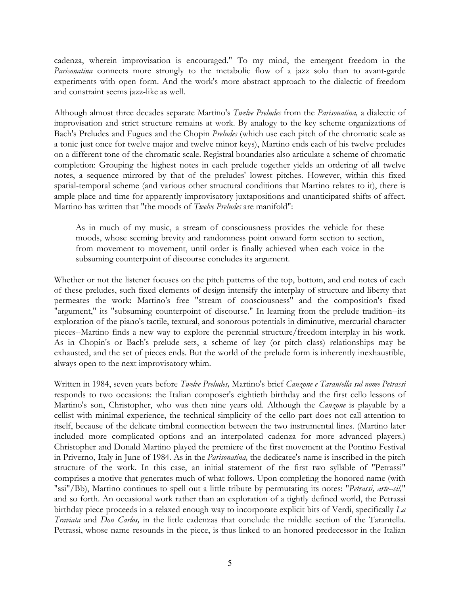cadenza, wherein improvisation is encouraged." To my mind, the emergent freedom in the *Parisonatina* connects more strongly to the metabolic flow of a jazz solo than to avant-garde experiments with open form. And the work's more abstract approach to the dialectic of freedom and constraint seems jazz-like as well.

Although almost three decades separate Martino's *Twelve Preludes* from the *Parisonatina,* a dialectic of improvisation and strict structure remains at work. By analogy to the key scheme organizations of Bach's Preludes and Fugues and the Chopin *Preludes* (which use each pitch of the chromatic scale as a tonic just once for twelve major and twelve minor keys), Martino ends each of his twelve preludes on a different tone of the chromatic scale. Registral boundaries also articulate a scheme of chromatic completion: Grouping the highest notes in each prelude together yields an ordering of all twelve notes, a sequence mirrored by that of the preludes' lowest pitches. However, within this fixed spatial-temporal scheme (and various other structural conditions that Martino relates to it), there is ample place and time for apparently improvisatory juxtapositions and unanticipated shifts of affect. Martino has written that "the moods of *Twelve Preludes* are manifold":

As in much of my music, a stream of consciousness provides the vehicle for these moods, whose seeming brevity and randomness point onward form section to section, from movement to movement, until order is finally achieved when each voice in the subsuming counterpoint of discourse concludes its argument.

Whether or not the listener focuses on the pitch patterns of the top, bottom, and end notes of each of these preludes, such fixed elements of design intensify the interplay of structure and liberty that permeates the work: Martino's free "stream of consciousness" and the composition's fixed "argument," its "subsuming counterpoint of discourse." In learning from the prelude tradition--its exploration of the piano's tactile, textural, and sonorous potentials in diminutive, mercurial character pieces--Martino finds a new way to explore the perennial structure/freedom interplay in his work. As in Chopin's or Bach's prelude sets, a scheme of key (or pitch class) relationships may be exhausted, and the set of pieces ends. But the world of the prelude form is inherently inexhaustible, always open to the next improvisatory whim.

Written in 1984, seven years before *Twelve Preludes,* Martino's brief *Canzone e Tarantella sul nome Petrassi* responds to two occasions: the Italian composer's eightieth birthday and the first cello lessons of Martino's son, Christopher, who was then nine years old. Although the *Canzone* is playable by a cellist with minimal experience, the technical simplicity of the cello part does not call attention to itself, because of the delicate timbral connection between the two instrumental lines. (Martino later included more complicated options and an interpolated cadenza for more advanced players.) Christopher and Donald Martino played the premiere of the first movement at the Pontino Festival in Priverno, Italy in June of 1984. As in the *Parisonatina,* the dedicatee's name is inscribed in the pitch structure of the work. In this case, an initial statement of the first two syllable of "Petrassi" comprises a motive that generates much of what follows. Upon completing the honored name (with "ssi"/Bb), Martino continues to spell out a little tribute by permutating its notes: "*Petrassi, arte--si!,*" and so forth. An occasional work rather than an exploration of a tightly defined world, the Petrassi birthday piece proceeds in a relaxed enough way to incorporate explicit bits of Verdi, specifically *La Traviata* and *Don Carlos,* in the little cadenzas that conclude the middle section of the Tarantella. Petrassi, whose name resounds in the piece, is thus linked to an honored predecessor in the Italian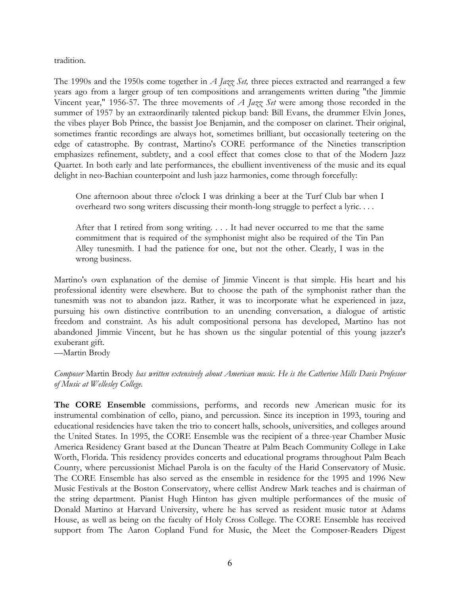tradition.

The 1990s and the 1950s come together in *A Jazz Set,* three pieces extracted and rearranged a few years ago from a larger group of ten compositions and arrangements written during "the Jimmie Vincent year," 1956-57. The three movements of *A Jazz Set* were among those recorded in the summer of 1957 by an extraordinarily talented pickup band: Bill Evans, the drummer Elvin Jones, the vibes player Bob Prince, the bassist Joe Benjamin, and the composer on clarinet. Their original, sometimes frantic recordings are always hot, sometimes brilliant, but occasionally teetering on the edge of catastrophe. By contrast, Martino's CORE performance of the Nineties transcription emphasizes refinement, subtlety, and a cool effect that comes close to that of the Modern Jazz Quartet. In both early and late performances, the ebullient inventiveness of the music and its equal delight in neo-Bachian counterpoint and lush jazz harmonies, come through forcefully:

One afternoon about three o'clock I was drinking a beer at the Turf Club bar when I overheard two song writers discussing their month-long struggle to perfect a lyric. . . .

After that I retired from song writing. . . . It had never occurred to me that the same commitment that is required of the symphonist might also be required of the Tin Pan Alley tunesmith. I had the patience for one, but not the other. Clearly, I was in the wrong business.

Martino's own explanation of the demise of Jimmie Vincent is that simple. His heart and his professional identity were elsewhere. But to choose the path of the symphonist rather than the tunesmith was not to abandon jazz. Rather, it was to incorporate what he experienced in jazz, pursuing his own distinctive contribution to an unending conversation, a dialogue of artistic freedom and constraint. As his adult compositional persona has developed, Martino has not abandoned Jimmie Vincent, but he has shown us the singular potential of this young jazzer's exuberant gift.

—Martin Brody

*Composer* Martin Brody *has written extensively about American music. He is the Catherine Mills Davis Professor of Music at Wellesley College.*

**The CORE Ensemble** commissions, performs, and records new American music for its instrumental combination of cello, piano, and percussion. Since its inception in 1993, touring and educational residencies have taken the trio to concert halls, schools, universities, and colleges around the United States. In 1995, the CORE Ensemble was the recipient of a three-year Chamber Music America Residency Grant based at the Duncan Theatre at Palm Beach Community College in Lake Worth, Florida. This residency provides concerts and educational programs throughout Palm Beach County, where percussionist Michael Parola is on the faculty of the Harid Conservatory of Music. The CORE Ensemble has also served as the ensemble in residence for the 1995 and 1996 New Music Festivals at the Boston Conservatory, where cellist Andrew Mark teaches and is chairman of the string department. Pianist Hugh Hinton has given multiple performances of the music of Donald Martino at Harvard University, where he has served as resident music tutor at Adams House, as well as being on the faculty of Holy Cross College. The CORE Ensemble has received support from The Aaron Copland Fund for Music, the Meet the Composer-Readers Digest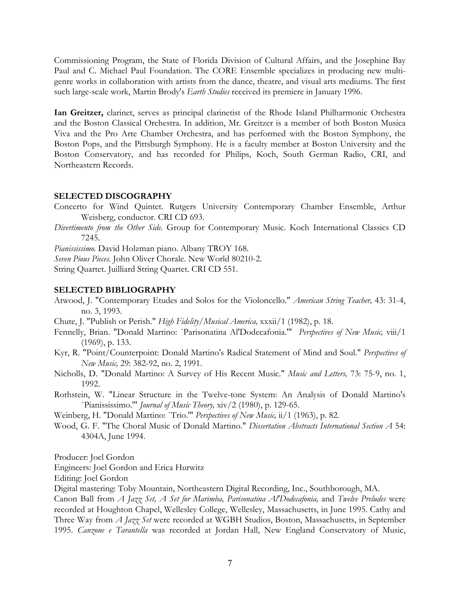Commissioning Program, the State of Florida Division of Cultural Affairs, and the Josephine Bay Paul and C. Michael Paul Foundation. The CORE Ensemble specializes in producing new multigenre works in collaboration with artists from the dance, theatre, and visual arts mediums. The first such large-scale work, Martin Brody's *Earth Studies* received its premiere in January 1996.

**Ian Greitzer,** clarinet, serves as principal clarinetist of the Rhode Island Philharmonic Orchestra and the Boston Classical Orchestra. In addition, Mr. Greitzer is a member of both Boston Musica Viva and the Pro Arte Chamber Orchestra, and has performed with the Boston Symphony, the Boston Pops, and the Pittsburgh Symphony. He is a faculty member at Boston University and the Boston Conservatory, and has recorded for Philips, Koch, South German Radio, CRI, and Northeastern Records.

#### **SELECTED DISCOGRAPHY**

- Concerto for Wind Quintet. Rutgers University Contemporary Chamber Ensemble, Arthur Weisberg, conductor. CRI CD 693.
- *Divertimento from the Other Side.* Group for Contemporary Music. Koch International Classics CD 7245.

*Pianississimo.* David Holzman piano. Albany TROY 168.

*Seven Pious Pieces.* John Oliver Chorale. New World 80210-2.

String Quartet. Juilliard String Quartet. CRI CD 551.

#### **SELECTED BIBLIOGRAPHY**

- Atwood, J. "Contemporary Etudes and Solos for the Violoncello." *American String Teacher,* 43: 31-4, no. 3, 1993.
- Chute, J. "Publish or Perish." *High Fidelity/Musical America,* xxxii/1 (1982), p. 18.
- Fennelly, Brian. "Donald Martino: `Parisonatina Al'Dodecafonia.'" *Perspectives of New Music,* viii/1 (1969), p. 133.
- Kyr, R. "Point/Counterpoint: Donald Martino's Radical Statement of Mind and Soul." *Perspectives of New Music,* 29: 382-92, no. 2, 1991.
- Nicholls, D. "Donald Martino: A Survey of His Recent Music." *Music and Letters,* 73: 75-9, no. 1, 1992.
- Rothstein, W. "Linear Structure in the Twelve-tone System: An Analysis of Donald Martino's `Pianississimo.'" *Journal of Music Theory,* xiv/2 (1980), p. 129-65.
- Weinberg, H. "Donald Martino: `Trio.'" *Perspectives of New Music,* ii/1 (1963), p. 82.
- Wood, G. F. "The Choral Music of Donald Martino." *Dissertation Abstracts International Section A* 54: 4304A, June 1994.

Producer: Joel Gordon

Engineers: Joel Gordon and Erica Hurwitz

Editing: Joel Gordon

Digital mastering: Toby Mountain, Northeastern Digital Recording, Inc., Southborough, MA.

Canon Ball from *A Jazz Set, A Set for Marimba, Parisonatina Al'Dodecafonia,* and *Twelve Preludes* were recorded at Houghton Chapel, Wellesley College, Wellesley, Massachusetts, in June 1995. Cathy and Three Way from *A Jazz Set* were recorded at WGBH Studios, Boston, Massachusetts, in September 1995. *Canzone e Tarantella* was recorded at Jordan Hall, New England Conservatory of Music,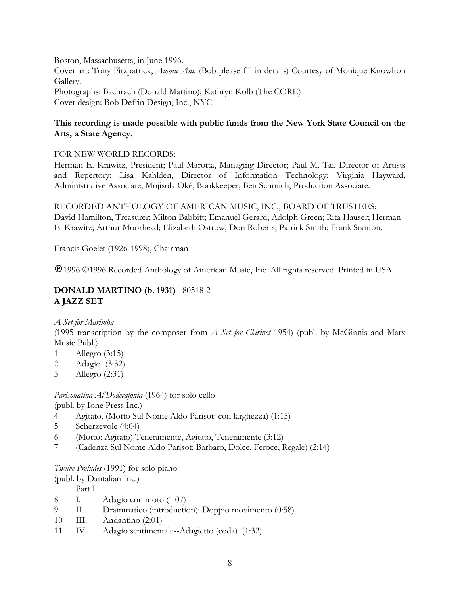Boston, Massachusetts, in June 1996. Cover art: Tony Fitzpatrick, *Atomic Ant.* (Bob please fill in details) Courtesy of Monique Knowlton Gallery. Photographs: Bachrach (Donald Martino); Kathryn Kolb (The CORE) Cover design: Bob Defrin Design, Inc., NYC

# **This recording is made possible with public funds from the New York State Council on the Arts, a State Agency.**

# FOR NEW WORLD RECORDS:

Herman E. Krawitz, President; Paul Marotta, Managing Director; Paul M. Tai, Director of Artists and Repertory; Lisa Kahlden, Director of Information Technology; Virginia Hayward, Administrative Associate; Mojisola Oké, Bookkeeper; Ben Schmich, Production Associate.

RECORDED ANTHOLOGY OF AMERICAN MUSIC, INC., BOARD OF TRUSTEES: David Hamilton, Treasurer; Milton Babbitt; Emanuel Gerard; Adolph Green; Rita Hauser; Herman E. Krawitz; Arthur Moorhead; Elizabeth Ostrow; Don Roberts; Patrick Smith; Frank Stanton.

Francis Goelet (1926-1998), Chairman

1996 ©1996 Recorded Anthology of American Music, Inc. All rights reserved. Printed in USA.

# **DONALD MARTINO (b. 1931)** 80518-2 **A JAZZ SET**

*A Set for Marimba*

(1995 transcription by the composer from *A Set for Clarinet* 1954) (publ. by McGinnis and Marx Music Publ.)

- 1 Allegro (3:15)
- 2 Adagio (3:32)
- 3 Allegro (2:31)

*Parisonatina Al'Dodecafonia* (1964) for solo cello

(publ. by Ione Press Inc.)

- 4 Agitato. (Motto Sul Nome Aldo Parisot: con larghezza) (1:15)
- 5 Scherzevole (4:04)
- 6 (Motto: Agitato) Teneramente, Agitato, Teneramente (3:12)
- 7 (Cadenza Sul Nome Aldo Parisot: Barbaro, Dolce, Feroce, Regale) (2:14)

*Twelve Preludes* (1991) for solo piano

(publ. by Dantalian Inc.)

Part I

- 8 I. Adagio con moto (1:07)
- 9 II. Drammatico (introduction): Doppio movimento (0:58)
- 10 III. Andantino (2:01)
- 11 IV. Adagio sentimentale--Adagietto (coda) (1:32)